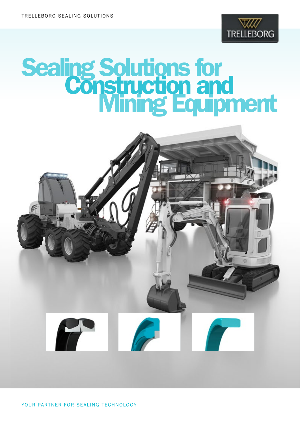

# Sealing Solutions for<br>Construction and<br>Mining Equipment

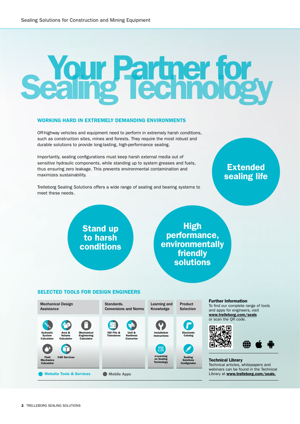# **Your Partner for<br>Caing Technology**

### WORKING HARD IN EXTREMELY DEMANDING ENVIRONMENTS

Off-highway vehicles and equipment need to perform in extremely harsh conditions, such as construction sites, mines and forests. They require the most robust and durable solutions to provide long-lasting, high-performance sealing.

Importantly, sealing configurations must keep harsh external media out of sensitive hydraulic components, while standing up to system greases and fuels, thus ensuring zero leakage. This prevents environmental contamination and maximizes sustainability.

Trelleborg Sealing Solutions offers a wide range of sealing and bearing systems to meet these needs.

### Extended sealing life

### Stand up to harsh conditions

**High** performance, environmentally friendly solutions

### SELECTED TOOLS FOR DESIGN ENGINEERS



### Further Information

To find our complete range of tools and apps for engineers, visit www.trelleborg.com/seals or scan the QR code.



Technical Library Technical articles, whitepapers and webinars can be found in the Technical Library at www.trelleborg.com/seals.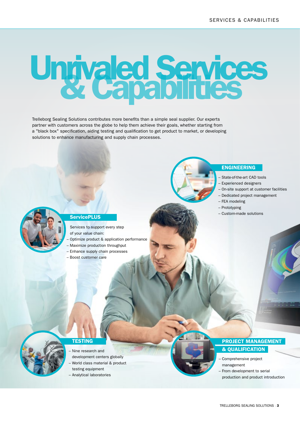ENGINEERING

– FEA modeling – Prototyping

– State-of-the-art CAD tools – Experienced designers

– Custom-made solutions

– On-site support at customer facilities – Dedicated project management

## Ungvaled Services

Trelleborg Sealing Solutions contributes more benefits than a simple seal supplier. Our experts partner with customers across the globe to help them achieve their goals, whether starting from a "black box" specification, aiding testing and qualification to get product to market, or developing solutions to enhance manufacturing and supply chain processes.



### **ServicePLUS**

- Services to support every step
- of your value chain:
- Optimize product & application performance
- Maximize production throughput – Enhance supply chain processes
- Boost customer care

### **TESTING** – Nine research and

- development centers globally
- World class material & product testing equipment
- Analytical laboratories

### PROJECT MANAGEMENT & QUALIFICATION

- Comprehensive project management
- From development to serial production and product introduction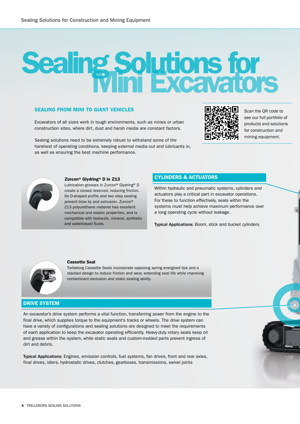### Sealing Solutions for<br>Mini Excavators

### SEALING FROM MINI TO GIANT VEHICLES

Excavators of all sizes work in tough environments, such as mines or urban construction sites, where dirt, dust and harsh media are constant factors.

Sealing solutions need to be extremely robust to withstand some of the harshest of operating conditions, keeping external media out and lubricants in, as well as ensuring the best machine performance.



Scan the QR code to see our full portfolio of products and solutions for construction and mining equipment.



### Zurcon® Glydring® D in Z13

Lubrication grooves in Zurcon® Glydring® D create a closed reservoir, reducing friction. Its D-shaped profile and two step sealing prevent blow by and extrusion. Zurcon® Z13 polyurethane material has excellent mechanical and elastic properties, and is compatible with hydraulic, mineral, synthetic and waterbased fluids.

### CYLINDERS & ACTUATORS

Within hydraulic and pneumatic systems, cylinders and actuators play a critical part in excavator operations. For these to function effectively, seals within the systems must help achieve maximum performance over a long operating cycle without leakage.

Typical Applications: Boom, stick and bucket cylinders



### Cassette Seal

Trelleborg Cassette Seals incorporate opposing spring energized lips and a stacked design to reduce friction and wear, extending seal life while improving contaminant exclusion and static sealing ability.

### DRIVE SYSTEM

An excavator's drive system performs a vital function, transferring power from the engine to the final drive, which supplies torque to the equipment's tracks or wheels. The drive system can have a variety of configurations and sealing solutions are designed to meet the requirements of each application to keep the excavator operating efficiently. Heavy-duty rotary seals keep oil and grease within the system, while static seals and custom-molded parts prevent ingress of dirt and debris.

Typical Applications: Engines, emission controls, fuel systems, fan drives, front and rear axles, final drives, idlers, hydrostatic drives, clutches, gearboxes, transmissions, swivel joints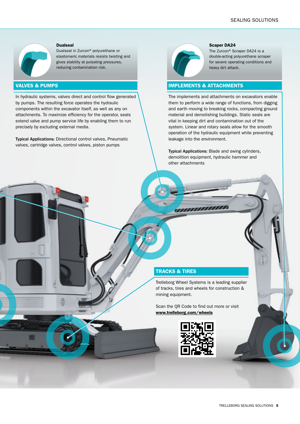

### Dualseal

Dualseal in Zurcon® polyurethane or elastomeric materials resists twisting and gives stability at pulsating pressures, reducing contamination risk.

### VALVES & PUMPS

In hydraulic systems, valves direct and control flow generated by pumps. The resulting force operates the hydraulic components within the excavator itself, as well as any on attachments. To maximize efficiency for the operator, seals extend valve and pump service life by enabling them to run precisely by excluding external media.

Typical Applications: Directional control valves, Pneumatic valves, cartridge valves, control valves, piston pumps



### Scaper DA24

The Zurcon® Scraper DA24 is a double-acting polyurethane scraper for severe operating conditions and heavy dirt attack.

### IMPLEMENTS & ATTACHMENTS

The implements and attachments on excavators enable them to perform a wide range of functions, from digging and earth moving to breaking rocks, compacting ground material and demolishing buildings. Static seals are vital in keeping dirt and contamination out of the system. Linear and rotary seals allow for the smooth operation of the hydraulic equipment while preventing leakage into the environment.

Typical Applications: Blade and swing cylinders, demolition equipment, hydraulic hammer and other attachments

### TRACKS & TIRES

Trelleborg Wheel Systems is a leading supplier of tracks, tires and wheels for construction & mining equipment.

**TELEVISION** 

Scan the QR Code to find out more or visit [www.trelleborg.com/wheels](http://www.trelleborg.com/wheels)

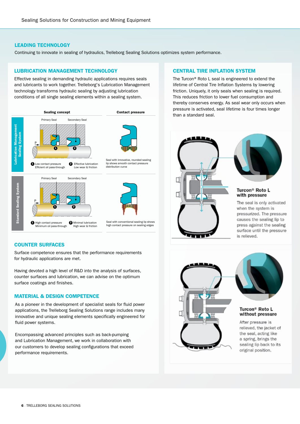### LEADING TECHNOLOGY

Continuing to innovate in sealing of hydraulics, Trelleborg Sealing Solutions optimizes system performance.

### Lubrication Management Lubrication Management LUBRICATION MANAGEMENT TECHNOLOGY

Effective sealing in demanding hydraulic applications requires seals conditions of all single sealing elements within a sealing system. and lubricants to work together. Trelleborg's Lubrication Management technology transforms hydraulic sealing by adjusting lubrication



### COUNTER SURFACES

Surface competence ensures that the performance requirements for hydraulic applications are met.

Having devoted a high level of R&D into the analysis of surfaces, counter surfaces and lubrication, we can advise on the optimum surface coatings and finishes.

### MATERIAL & DESIGN COMPETENCE

As a pioneer in the development of specialist seals for fluid power applications, the Trelleborg Sealing Solutions range includes many innovative and unique sealing elements specifically engineered for fluid power systems.

Encompassing advanced principles such as back-pumping and Lubrication Management, we work in collaboration with our customers to develop sealing configurations that exceed performance requirements.

### CENTRAL TIRE INFLATION SYSTEM

The Turcon® Roto L seal is engineered to extend the lifetime of Central Tire Inflation Systems by lowering friction. Uniquely, it only seals when sealing is required. This reduces friction to lower fuel consumption and thereby conserves energy. As seal wear only occurs when pressure is activated, seal lifetime is four times longer than a standard seal.







### Turcon<sup>®</sup> Roto L without pressure

After pressure is relieved, the jacket of the seal, acting like a spring, brings the sealing lip back to its original position.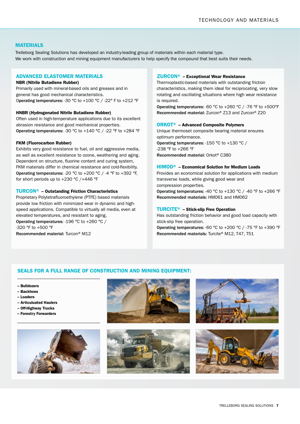### MATERIALS

Trelleborg Sealing Solutions has developed an industry-leading group of materials within each material type. We work with construction and mining equipment manufacturers to help specify the compound that best suits their needs.

### ADVANCED ELASTOMER MATERIALS

### NBR (Nitrile Butadiene Rubber)

Primarily used with mineral-based oils and greases and in general has good mechanical characteristics. Operating temperatures: -30 °C to +100 °C / -22° F to +212 °F

### HNBR (Hydrogenated Nitrile Butadiene Rubber)

Often used in high-temperature applications due to its excellent abrasion resistance and good mechanical properties. Operating temperatures: -30 °C to +140 °C / -22 °F to +284 °F

### FKM (Fluorocarbon Rubber)

Exhibits very good resistance to fuel, oil and aggressive media, as well as excellent resistance to ozone, weathering and aging. Dependent on structure, fluorine content and curing system, FKM materials differ in chemical resistance and cold-flexibility. Operating temperatures: -20 °C to +200 °C / -4 °F to +392 °F, for short periods up to +230 °C /+446 °F

### TURCON® – Outstanding Friction Characteristics

Proprietary Polytetrafluoroethylene (PTFE) based materials provide low friction with minimized wear in dynamic and highspeed applications. Compatible to virtually all media, even at elevated temperatures, and resistant to aging. Operating temperatures: -196 °C to +260 °C / -320 °F to +500 °F

### Recommended material: Turcon® M12

### ZURCON® – Exceptional Wear Resistance

Thermoplastic-based materials with outstanding friction characteristics, making them ideal for reciprocating, very slow rotating and oscillating situations where high wear resistance is required.

Operating temperatures: -60 °C to +260 °C / -76 °F to +500°F Recommended material: Zurcon® Z13 and Zurcon® Z20

### ORKOT® – Advanced Composite Polymers

Unique thermoset composite bearing material ensures optimum performance.

Operating temperatures: -150 °C to +130 °C / -238 °F to +266 °F Recommended material: Orkot® C380

### HIMOD® – Economical Solution for Medium Loads

Provides an economical solution for applications with medium transverse loads, while giving good wear and compression properties.

Operating temperatures: -40 °C to +130 °C / -40 °F to +266 °F Recommended materials: HM061 and HM062

### TURCITE® – Stick-slip Free Operation

Has outstanding friction behavior and good load capacity with stick-slip free operation.

Operating temperatures: -60 °C to +200 °C / -75 °F to +390 °F Recommended materials: Turcite® M12, T47, T51

### SEALS FOR A FULL RANGE OF CONSTRUCTION AND MINING EQUIPMENT:

- Bulldozers
- Backhoes
- Loaders
- Articuluated Haulers
- Off-Highway Trucks
- Forestry Forwarders